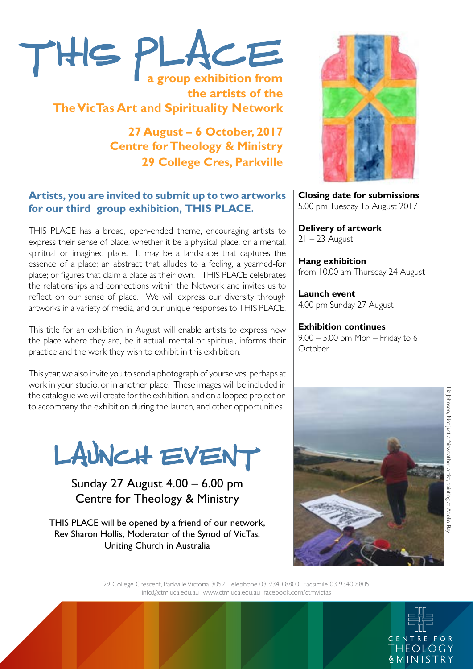

**the artists of the The VicTas Art and Spirituality Network**

> **27 August – 6 October, 2017 Centre for Theology & Ministry 29 College Cres, Parkville**

# **Artists, you are invited to submit up to two artworks for our third group exhibition, THIS PLACE.**

THIS PLACE has a broad, open-ended theme, encouraging artists to express their sense of place, whether it be a physical place, or a mental, spiritual or imagined place. It may be a landscape that captures the essence of a place; an abstract that alludes to a feeling, a yearned-for place; or figures that claim a place as their own. THIS PLACE celebrates the relationships and connections within the Network and invites us to reflect on our sense of place. We will express our diversity through artworks in a variety of media, and our unique responses to THIS PLACE.

This title for an exhibition in August will enable artists to express how the place where they are, be it actual, mental or spiritual, informs their practice and the work they wish to exhibit in this exhibition.

This year, we also invite you to send a photograph of yourselves, perhaps at work in your studio, or in another place. These images will be included in the catalogue we will create for the exhibition, and on a looped projection to accompany the exhibition during the launch, and other opportunities.

LAUNCH EVENT

Sunday 27 August 4.00 – 6.00 pm Centre for Theology & Ministry

THIS PLACE will be opened by a friend of our network, Rev Sharon Hollis, Moderator of the Synod of VicTas, Uniting Church in Australia



**Closing date for submissions**  5.00 pm Tuesday 15 August 2017

**Delivery of artwork**   $21 - 23$  August

**Hang exhibition**  from 10.00 am Thursday 24 August

**Launch event**  4.00 pm Sunday 27 August

**Exhibition continues**  9.00 – 5.00 pm Mon – Friday to 6 **October** 



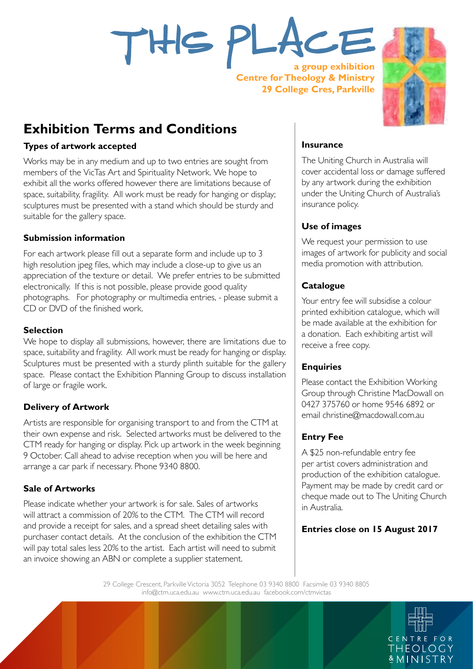

**a group exhibition Centre for Theology & Ministry 29 College Cres, Parkville**



# **Exhibition Terms and Conditions**

#### **Types of artwork accepted**

Works may be in any medium and up to two entries are sought from members of the VicTas Art and Spirituality Network. We hope to exhibit all the works offered however there are limitations because of space, suitability, fragility. All work must be ready for hanging or display; sculptures must be presented with a stand which should be sturdy and suitable for the gallery space.

#### **Submission information**

For each artwork please fill out a separate form and include up to 3 high resolution jpeg files, which may include a close-up to give us an appreciation of the texture or detail. We prefer entries to be submitted electronically. If this is not possible, please provide good quality photographs. For photography or multimedia entries, - please submit a CD or DVD of the finished work.

#### **Selection**

We hope to display all submissions, however, there are limitations due to space, suitability and fragility. All work must be ready for hanging or display. Sculptures must be presented with a sturdy plinth suitable for the gallery space. Please contact the Exhibition Planning Group to discuss installation of large or fragile work.

# **Delivery of Artwork**

Artists are responsible for organising transport to and from the CTM at their own expense and risk. Selected artworks must be delivered to the CTM ready for hanging or display. Pick up artwork in the week beginning 9 October. Call ahead to advise reception when you will be here and arrange a car park if necessary. Phone 9340 8800.

#### **Sale of Artworks**

Please indicate whether your artwork is for sale. Sales of artworks will attract a commission of 20% to the CTM. The CTM will record and provide a receipt for sales, and a spread sheet detailing sales with purchaser contact details. At the conclusion of the exhibition the CTM will pay total sales less 20% to the artist. Each artist will need to submit an invoice showing an ABN or complete a supplier statement.

#### **Insurance**

The Uniting Church in Australia will cover accidental loss or damage suffered by any artwork during the exhibition under the Uniting Church of Australia's insurance policy.

# **Use of images**

We request your permission to use images of artwork for publicity and social media promotion with attribution.

# **Catalogue**

Your entry fee will subsidise a colour printed exhibition catalogue, which will be made available at the exhibition for a donation. Each exhibiting artist will receive a free copy.

# **Enquiries**

Please contact the Exhibition Working Group through Christine MacDowall on 0427 375760 or home 9546 6892 or email christine@macdowall.com.au

# **Entry Fee**

A \$25 non-refundable entry fee per artist covers administration and production of the exhibition catalogue. Payment may be made by credit card or cheque made out to The Uniting Church in Australia.

# **Entries close on 15 August 2017**

29 College Crescent, Parkville Victoria 3052 Telephone 03 9340 8800 Facsimile 03 9340 8805 info@ctm.uca.edu.au www.ctm.uca.edu.au facebook.com/ctmvictas